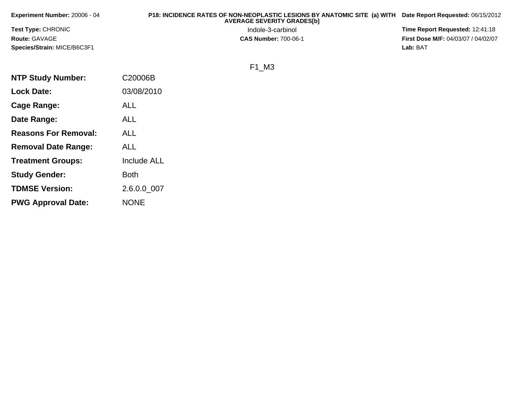| Experiment Number: 20006 - 04 | P18: INCIDENCE RATES OF NON-NEOPLASTIC LESIONS BY ANATOMIC SITE (a) WITH<br><b>AVERAGE SEVERITY GRADES[b]</b> | Date Report Requested: 06/15/2012          |
|-------------------------------|---------------------------------------------------------------------------------------------------------------|--------------------------------------------|
| <b>Test Type: CHRONIC</b>     | Indole-3-carbinol                                                                                             | Time Report Requested: 12:41:18            |
| <b>Route: GAVAGE</b>          | <b>CAS Number: 700-06-1</b>                                                                                   | <b>First Dose M/F: 04/03/07 / 04/02/07</b> |
| Species/Strain: MICE/B6C3F1   |                                                                                                               | Lab: BAT                                   |
|                               | ΜЗ<br>F1                                                                                                      |                                            |

|--|

| <b>NTP Study Number:</b>    | C20006B            |
|-----------------------------|--------------------|
| <b>Lock Date:</b>           | 03/08/2010         |
| Cage Range:                 | ALL                |
| Date Range:                 | ALL                |
| <b>Reasons For Removal:</b> | <b>ALL</b>         |
| <b>Removal Date Range:</b>  | <b>ALL</b>         |
| <b>Treatment Groups:</b>    | <b>Include ALL</b> |
| <b>Study Gender:</b>        | <b>Both</b>        |
| <b>TDMSE Version:</b>       | 2.6.0.0_007        |
| <b>PWG Approval Date:</b>   | <b>NONE</b>        |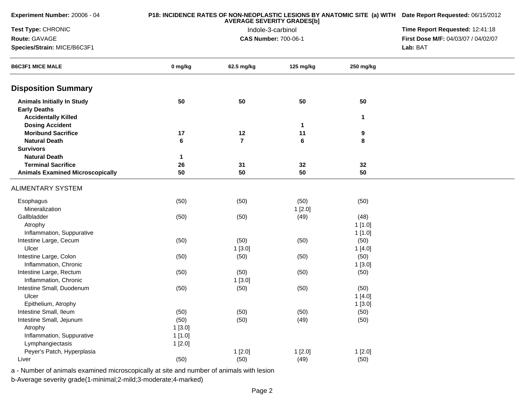| Experiment Number: 20006 - 04                            |         | P18: INCIDENCE RATES OF NON-NEOPLASTIC LESIONS BY ANATOMIC SITE (a) WITH Date Report Requested: 06/15/2012<br>Time Report Requested: 12:41:18 |                             |           |                                     |
|----------------------------------------------------------|---------|-----------------------------------------------------------------------------------------------------------------------------------------------|-----------------------------|-----------|-------------------------------------|
| Test Type: CHRONIC                                       |         |                                                                                                                                               |                             |           |                                     |
| Route: GAVAGE                                            |         |                                                                                                                                               | <b>CAS Number: 700-06-1</b> |           | First Dose M/F: 04/03/07 / 04/02/07 |
| Species/Strain: MICE/B6C3F1                              |         |                                                                                                                                               |                             |           | Lab: BAT                            |
| <b>B6C3F1 MICE MALE</b>                                  | 0 mg/kg | 62.5 mg/kg                                                                                                                                    | 125 mg/kg                   | 250 mg/kg |                                     |
| <b>Disposition Summary</b>                               |         |                                                                                                                                               |                             |           |                                     |
| <b>Animals Initially In Study</b><br><b>Early Deaths</b> | 50      | 50                                                                                                                                            | 50                          | 50        |                                     |
| <b>Accidentally Killed</b>                               |         |                                                                                                                                               |                             | 1         |                                     |
| <b>Dosing Accident</b><br><b>Moribund Sacrifice</b>      | 17      | $12$                                                                                                                                          | 1<br>11                     |           |                                     |
| <b>Natural Death</b>                                     | 6       | $\overline{7}$                                                                                                                                | 6                           | 9<br>8    |                                     |
| <b>Survivors</b>                                         |         |                                                                                                                                               |                             |           |                                     |
| <b>Natural Death</b>                                     | 1       |                                                                                                                                               |                             |           |                                     |
| <b>Terminal Sacrifice</b>                                | 26      | 31                                                                                                                                            | 32                          | 32        |                                     |
| <b>Animals Examined Microscopically</b>                  | 50      | 50                                                                                                                                            | 50                          | 50        |                                     |
| <b>ALIMENTARY SYSTEM</b>                                 |         |                                                                                                                                               |                             |           |                                     |
| Esophagus                                                | (50)    | (50)                                                                                                                                          | (50)                        | (50)      |                                     |
| Mineralization                                           |         |                                                                                                                                               | 1[2.0]                      |           |                                     |
| Gallbladder                                              | (50)    | (50)                                                                                                                                          | (49)                        | (48)      |                                     |
| Atrophy                                                  |         |                                                                                                                                               |                             | 1[1.0]    |                                     |
| Inflammation, Suppurative                                |         |                                                                                                                                               |                             | 1[1.0]    |                                     |
| Intestine Large, Cecum                                   | (50)    | (50)                                                                                                                                          | (50)                        | (50)      |                                     |
| Ulcer                                                    |         | 1[3.0]                                                                                                                                        |                             | 1[4.0]    |                                     |
| Intestine Large, Colon                                   | (50)    | (50)                                                                                                                                          | (50)                        | (50)      |                                     |
| Inflammation, Chronic                                    |         |                                                                                                                                               |                             | 1[3.0]    |                                     |
| Intestine Large, Rectum                                  | (50)    | (50)                                                                                                                                          | (50)                        | (50)      |                                     |
| Inflammation, Chronic                                    |         | 1[3.0]                                                                                                                                        |                             |           |                                     |
| Intestine Small, Duodenum                                | (50)    | (50)                                                                                                                                          | (50)                        | (50)      |                                     |
| Ulcer                                                    |         |                                                                                                                                               |                             | 1[4.0]    |                                     |
| Epithelium, Atrophy                                      |         |                                                                                                                                               |                             | 1[3.0]    |                                     |
| Intestine Small, Ileum                                   | (50)    | (50)                                                                                                                                          | (50)                        | (50)      |                                     |
| Intestine Small, Jejunum                                 | (50)    | (50)                                                                                                                                          | (49)                        | (50)      |                                     |
| Atrophy                                                  | 1[3.0]  |                                                                                                                                               |                             |           |                                     |
| Inflammation, Suppurative                                | 1[1.0]  |                                                                                                                                               |                             |           |                                     |
| Lymphangiectasis                                         | 1[2.0]  |                                                                                                                                               |                             |           |                                     |
| Peyer's Patch, Hyperplasia                               |         | 1[2.0]                                                                                                                                        | 1[2.0]                      | 1[2.0]    |                                     |
| Liver                                                    | (50)    | (50)                                                                                                                                          | (49)                        | (50)      |                                     |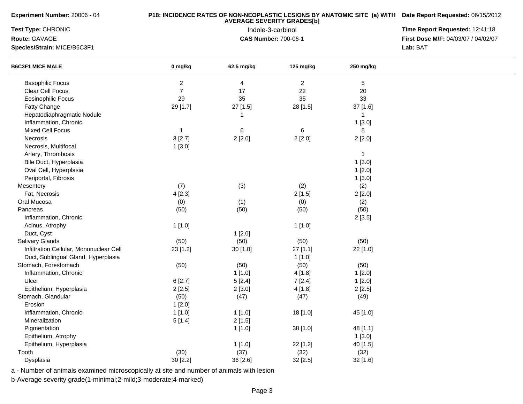| Experiment Number: 20006 - 04           |                         | P18: INCIDENCE RATES OF NON-NEOPLASTIC LESIONS BY ANATOMIC SITE (a) WITH Date Report Requested: 06/15/2012 |                |                |                                     |
|-----------------------------------------|-------------------------|------------------------------------------------------------------------------------------------------------|----------------|----------------|-------------------------------------|
| Test Type: CHRONIC                      |                         | Time Report Requested: 12:41:18                                                                            |                |                |                                     |
| Route: GAVAGE                           |                         | <b>CAS Number: 700-06-1</b>                                                                                |                |                | First Dose M/F: 04/03/07 / 04/02/07 |
| Species/Strain: MICE/B6C3F1             |                         |                                                                                                            |                |                | Lab: BAT                            |
| <b>B6C3F1 MICE MALE</b>                 | 0 mg/kg                 | 62.5 mg/kg                                                                                                 | 125 mg/kg      | 250 mg/kg      |                                     |
| <b>Basophilic Focus</b>                 | $\overline{\mathbf{c}}$ | 4                                                                                                          | $\overline{2}$ | 5              |                                     |
| <b>Clear Cell Focus</b>                 | $\overline{7}$          | 17                                                                                                         | 22             | 20             |                                     |
| <b>Eosinophilic Focus</b>               | 29                      | 35                                                                                                         | 35             | 33             |                                     |
| Fatty Change                            | 29 [1.7]                | 27 [1.5]                                                                                                   | 28 [1.5]       | 37 [1.6]       |                                     |
| Hepatodiaphragmatic Nodule              |                         | 1                                                                                                          |                | $\overline{1}$ |                                     |
| Inflammation, Chronic                   |                         |                                                                                                            |                | 1[3.0]         |                                     |
| Mixed Cell Focus                        | 1                       | 6                                                                                                          | 6              | 5              |                                     |
| Necrosis                                | 3[2.7]                  | 2[2.0]                                                                                                     | 2[2.0]         | 2[2.0]         |                                     |
| Necrosis, Multifocal                    | 1[3.0]                  |                                                                                                            |                |                |                                     |
| Artery, Thrombosis                      |                         |                                                                                                            |                | $\mathbf{1}$   |                                     |
| Bile Duct, Hyperplasia                  |                         |                                                                                                            |                | 1[3.0]         |                                     |
| Oval Cell, Hyperplasia                  |                         |                                                                                                            |                | 1[2.0]         |                                     |
| Periportal, Fibrosis                    |                         |                                                                                                            |                | 1[3.0]         |                                     |
| Mesentery                               | (7)                     | (3)                                                                                                        | (2)            | (2)            |                                     |
| Fat, Necrosis                           | 4[2.3]                  |                                                                                                            | 2[1.5]         | 2[2.0]         |                                     |
| Oral Mucosa                             | (0)                     | (1)                                                                                                        | (0)            | (2)            |                                     |
| Pancreas                                | (50)                    | (50)                                                                                                       | (50)           | (50)           |                                     |
| Inflammation, Chronic                   |                         |                                                                                                            |                | 2[3.5]         |                                     |
| Acinus, Atrophy                         | 1[1.0]                  |                                                                                                            | 1[1.0]         |                |                                     |
| Duct, Cyst                              |                         | 1[2.0]                                                                                                     |                |                |                                     |
| Salivary Glands                         | (50)                    | (50)                                                                                                       | (50)           | (50)           |                                     |
| Infiltration Cellular, Mononuclear Cell | 23 [1.2]                | 30 [1.0]                                                                                                   | 27 [1.1]       | 22 [1.0]       |                                     |
| Duct, Sublingual Gland, Hyperplasia     |                         |                                                                                                            | 1[1.0]         |                |                                     |
| Stomach, Forestomach                    | (50)                    | (50)                                                                                                       | (50)           | (50)           |                                     |
| Inflammation, Chronic                   |                         | 1[1.0]                                                                                                     | 4[1.8]         | 1[2.0]         |                                     |
| Ulcer                                   | 6[2.7]                  | 5[2.4]                                                                                                     | 7[2.4]         | 1[2.0]         |                                     |
| Epithelium, Hyperplasia                 | 2[2.5]                  | 2[3.0]                                                                                                     | 4 [1.8]        | 2[2.5]         |                                     |
| Stomach, Glandular                      | (50)                    | (47)                                                                                                       | (47)           | (49)           |                                     |
| Erosion                                 | 1[2.0]                  |                                                                                                            |                |                |                                     |
| Inflammation, Chronic                   | 1[1.0]                  | 1[1.0]                                                                                                     | 18 [1.0]       | 45 [1.0]       |                                     |
| Mineralization                          | 5[1.4]                  | 2[1.5]                                                                                                     |                |                |                                     |
| Pigmentation                            |                         | 1[1.0]                                                                                                     | 38 [1.0]       | 48 [1.1]       |                                     |
| Epithelium, Atrophy                     |                         |                                                                                                            |                | 1[3.0]         |                                     |
| Epithelium, Hyperplasia                 |                         | 1[1.0]                                                                                                     | 22 [1.2]       | 40 [1.5]       |                                     |
| Tooth                                   | (30)                    | (37)                                                                                                       | (32)           | (32)           |                                     |
| Dysplasia                               | 30 [2.2]                | 36 [2.6]                                                                                                   | 32 [2.5]       | 32 [1.6]       |                                     |

a - Number of animals examined microscopically at site and number of animals with lesion

b-Average severity grade(1-minimal;2-mild;3-moderate;4-marked)

**Experiment Number:** 20006 - 04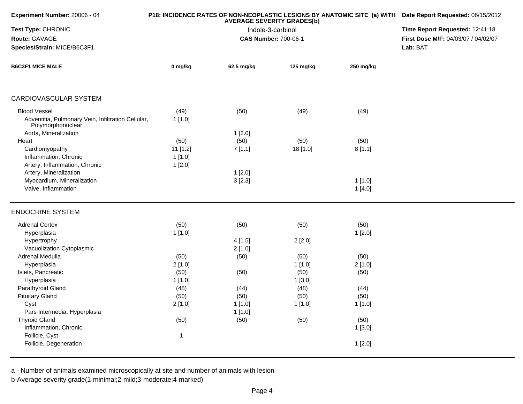| Experiment Number: 20006 - 04                                           |              | P18: INCIDENCE RATES OF NON-NEOPLASTIC LESIONS BY ANATOMIC SITE (a) WITH Date Report Requested: 06/15/2012 |                                 |           |                                     |
|-------------------------------------------------------------------------|--------------|------------------------------------------------------------------------------------------------------------|---------------------------------|-----------|-------------------------------------|
| Test Type: CHRONIC                                                      |              | <b>AVERAGE SEVERITY GRADES[b]</b><br>Indole-3-carbinol                                                     | Time Report Requested: 12:41:18 |           |                                     |
| Route: GAVAGE                                                           |              |                                                                                                            | <b>CAS Number: 700-06-1</b>     |           | First Dose M/F: 04/03/07 / 04/02/07 |
| Species/Strain: MICE/B6C3F1                                             |              |                                                                                                            |                                 |           | Lab: BAT                            |
| <b>B6C3F1 MICE MALE</b>                                                 | 0 mg/kg      | 62.5 mg/kg                                                                                                 | 125 mg/kg                       | 250 mg/kg |                                     |
|                                                                         |              |                                                                                                            |                                 |           |                                     |
| <b>CARDIOVASCULAR SYSTEM</b>                                            |              |                                                                                                            |                                 |           |                                     |
| <b>Blood Vessel</b>                                                     | (49)         | (50)                                                                                                       | (49)                            | (49)      |                                     |
| Adventitia, Pulmonary Vein, Infiltration Cellular,<br>Polymorphonuclear | 1[1.0]       |                                                                                                            |                                 |           |                                     |
| Aorta, Mineralization                                                   |              | 1[2.0]                                                                                                     |                                 |           |                                     |
| Heart                                                                   | (50)         | (50)                                                                                                       | (50)                            | (50)      |                                     |
| Cardiomyopathy                                                          | 11 [1.2]     | 7[1.1]                                                                                                     | 18 [1.0]                        | 8[1.1]    |                                     |
| Inflammation, Chronic                                                   | 1[1.0]       |                                                                                                            |                                 |           |                                     |
| Artery, Inflammation, Chronic                                           | 1[2.0]       |                                                                                                            |                                 |           |                                     |
| Artery, Mineralization                                                  |              | 1[2.0]                                                                                                     |                                 |           |                                     |
| Myocardium, Mineralization                                              |              | 3[2.3]                                                                                                     |                                 | 1[1.0]    |                                     |
| Valve, Inflammation                                                     |              |                                                                                                            |                                 | 1[4.0]    |                                     |
| <b>ENDOCRINE SYSTEM</b>                                                 |              |                                                                                                            |                                 |           |                                     |
| <b>Adrenal Cortex</b>                                                   | (50)         | (50)                                                                                                       | (50)                            | (50)      |                                     |
| Hyperplasia                                                             | 1[1.0]       |                                                                                                            |                                 | 1[2.0]    |                                     |
| Hypertrophy                                                             |              | 4[1.5]                                                                                                     | 2[2.0]                          |           |                                     |
| Vacuolization Cytoplasmic                                               |              | 2[1.0]                                                                                                     |                                 |           |                                     |
| Adrenal Medulla                                                         | (50)         | (50)                                                                                                       | (50)                            | (50)      |                                     |
| Hyperplasia                                                             | 2[1.0]       |                                                                                                            | 1[1.0]                          | 2[1.0]    |                                     |
| Islets, Pancreatic                                                      | (50)         | (50)                                                                                                       | (50)                            | (50)      |                                     |
| Hyperplasia                                                             | 1[1.0]       |                                                                                                            | 1[3.0]                          |           |                                     |
| Parathyroid Gland                                                       | (48)         | (44)                                                                                                       | (48)                            | (44)      |                                     |
| <b>Pituitary Gland</b>                                                  | (50)         | (50)                                                                                                       | (50)                            | (50)      |                                     |
| Cyst                                                                    | 2[1.0]       | 1[1.0]                                                                                                     | 1[1.0]                          | 1[1.0]    |                                     |
| Pars Intermedia, Hyperplasia                                            |              | 1[1.0]                                                                                                     |                                 |           |                                     |
| <b>Thyroid Gland</b>                                                    | (50)         | (50)                                                                                                       | (50)                            | (50)      |                                     |
| Inflammation, Chronic                                                   |              |                                                                                                            |                                 | 1[3.0]    |                                     |
| Follicle, Cyst                                                          | $\mathbf{1}$ |                                                                                                            |                                 |           |                                     |
| Follicle, Degeneration                                                  |              |                                                                                                            |                                 | 1[2.0]    |                                     |
|                                                                         |              |                                                                                                            |                                 |           |                                     |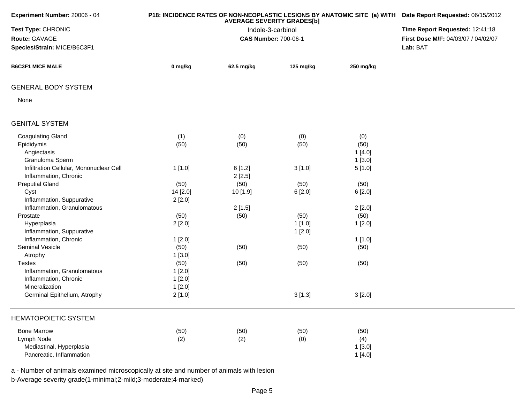| Experiment Number: 20006 - 04           |          | P18: INCIDENCE RATES OF NON-NEOPLASTIC LESIONS BY ANATOMIC SITE (a) WITH Date Report Requested: 06/15/2012<br>Time Report Requested: 12:41:18 |           |           |                                     |
|-----------------------------------------|----------|-----------------------------------------------------------------------------------------------------------------------------------------------|-----------|-----------|-------------------------------------|
| Test Type: CHRONIC                      |          |                                                                                                                                               |           |           |                                     |
| Route: GAVAGE                           |          | <b>CAS Number: 700-06-1</b>                                                                                                                   |           |           | First Dose M/F: 04/03/07 / 04/02/07 |
| Species/Strain: MICE/B6C3F1             |          |                                                                                                                                               |           |           | Lab: BAT                            |
| <b>B6C3F1 MICE MALE</b>                 | 0 mg/kg  | 62.5 mg/kg                                                                                                                                    | 125 mg/kg | 250 mg/kg |                                     |
| <b>GENERAL BODY SYSTEM</b>              |          |                                                                                                                                               |           |           |                                     |
| None                                    |          |                                                                                                                                               |           |           |                                     |
| <b>GENITAL SYSTEM</b>                   |          |                                                                                                                                               |           |           |                                     |
| <b>Coagulating Gland</b>                | (1)      | (0)                                                                                                                                           | (0)       | (0)       |                                     |
| Epididymis                              | (50)     | (50)                                                                                                                                          | (50)      | (50)      |                                     |
| Angiectasis                             |          |                                                                                                                                               |           | 1[4.0]    |                                     |
| Granuloma Sperm                         |          |                                                                                                                                               |           | 1[3.0]    |                                     |
| Infiltration Cellular, Mononuclear Cell | 1[1.0]   | 6[1.2]                                                                                                                                        | 3[1.0]    | 5[1.0]    |                                     |
| Inflammation, Chronic                   |          | 2[2.5]                                                                                                                                        |           |           |                                     |
| <b>Preputial Gland</b>                  | (50)     | (50)                                                                                                                                          | (50)      | (50)      |                                     |
| Cyst                                    | 14 [2.0] | 10 [1.9]                                                                                                                                      | 6[2.0]    | 6 [2.0]   |                                     |
| Inflammation, Suppurative               | 2[2.0]   |                                                                                                                                               |           |           |                                     |
| Inflammation, Granulomatous             |          | 2[1.5]                                                                                                                                        |           | 2[2.0]    |                                     |
| Prostate                                | (50)     | (50)                                                                                                                                          | (50)      | (50)      |                                     |
| Hyperplasia                             | 2[2.0]   |                                                                                                                                               | 1[1.0]    | 1[2.0]    |                                     |
| Inflammation, Suppurative               |          |                                                                                                                                               | 1[2.0]    |           |                                     |
| Inflammation, Chronic                   | 1[2.0]   |                                                                                                                                               |           | 1[1.0]    |                                     |
| Seminal Vesicle                         | (50)     | (50)                                                                                                                                          | (50)      | (50)      |                                     |
| Atrophy                                 | 1[3.0]   |                                                                                                                                               |           |           |                                     |
| <b>Testes</b>                           | (50)     | (50)                                                                                                                                          | (50)      | (50)      |                                     |
| Inflammation, Granulomatous             | 1[2.0]   |                                                                                                                                               |           |           |                                     |
| Inflammation, Chronic                   | 1[2.0]   |                                                                                                                                               |           |           |                                     |
| Mineralization                          | 1[2.0]   |                                                                                                                                               |           |           |                                     |
| Germinal Epithelium, Atrophy            | 2[1.0]   |                                                                                                                                               | 3[1.3]    | 3[2.0]    |                                     |
| <b>HEMATOPOIETIC SYSTEM</b>             |          |                                                                                                                                               |           |           |                                     |
| <b>Bone Marrow</b>                      | (50)     | (50)                                                                                                                                          | (50)      | (50)      |                                     |
| Lymph Node                              | (2)      | (2)                                                                                                                                           | (0)       | (4)       |                                     |
| Mediastinal, Hyperplasia                |          |                                                                                                                                               |           | 1[3.0]    |                                     |
| Pancreatic, Inflammation                |          |                                                                                                                                               |           | 1[4.0]    |                                     |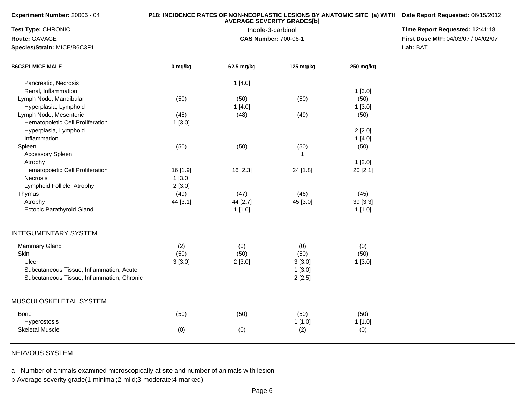| Experiment Number: 20006 - 04              |          | P18: INCIDENCE RATES OF NON-NEOPLASTIC LESIONS BY ANATOMIC SITE (a) WITH Date Report Requested: 06/15/2012<br>Time Report Requested: 12:41:18 |                             |           |                                            |
|--------------------------------------------|----------|-----------------------------------------------------------------------------------------------------------------------------------------------|-----------------------------|-----------|--------------------------------------------|
| Test Type: CHRONIC                         |          |                                                                                                                                               |                             |           |                                            |
| Route: GAVAGE                              |          |                                                                                                                                               | <b>CAS Number: 700-06-1</b> |           | <b>First Dose M/F: 04/03/07 / 04/02/07</b> |
| Species/Strain: MICE/B6C3F1                |          |                                                                                                                                               |                             |           | Lab: BAT                                   |
| <b>B6C3F1 MICE MALE</b>                    | 0 mg/kg  | 62.5 mg/kg                                                                                                                                    | 125 mg/kg                   | 250 mg/kg |                                            |
| Pancreatic, Necrosis                       |          | 1[4.0]                                                                                                                                        |                             |           |                                            |
| Renal, Inflammation                        |          |                                                                                                                                               |                             | 1[3.0]    |                                            |
| Lymph Node, Mandibular                     | (50)     | (50)                                                                                                                                          | (50)                        | (50)      |                                            |
| Hyperplasia, Lymphoid                      |          | 1[4.0]                                                                                                                                        |                             | 1[3.0]    |                                            |
| Lymph Node, Mesenteric                     | (48)     | (48)                                                                                                                                          | (49)                        | (50)      |                                            |
| Hematopoietic Cell Proliferation           | 1[3.0]   |                                                                                                                                               |                             |           |                                            |
| Hyperplasia, Lymphoid                      |          |                                                                                                                                               |                             | 2[2.0]    |                                            |
| Inflammation                               |          |                                                                                                                                               |                             | 1[4.0]    |                                            |
| Spleen                                     | (50)     | (50)                                                                                                                                          | (50)                        | (50)      |                                            |
| <b>Accessory Spleen</b>                    |          |                                                                                                                                               | $\mathbf 1$                 |           |                                            |
| Atrophy                                    |          |                                                                                                                                               |                             | 1[2.0]    |                                            |
| Hematopoietic Cell Proliferation           | 16 [1.9] | 16 [2.3]                                                                                                                                      | 24 [1.8]                    | 20 [2.1]  |                                            |
| <b>Necrosis</b>                            | 1[3.0]   |                                                                                                                                               |                             |           |                                            |
| Lymphoid Follicle, Atrophy                 | 2[3.0]   |                                                                                                                                               |                             |           |                                            |
| Thymus                                     | (49)     | (47)                                                                                                                                          | (46)                        | (45)      |                                            |
| Atrophy                                    | 44 [3.1] | 44 [2.7]                                                                                                                                      | 45 [3.0]                    | 39 [3.3]  |                                            |
| Ectopic Parathyroid Gland                  |          | 1[1.0]                                                                                                                                        |                             | 1[1.0]    |                                            |
| <b>INTEGUMENTARY SYSTEM</b>                |          |                                                                                                                                               |                             |           |                                            |
| <b>Mammary Gland</b>                       | (2)      | (0)                                                                                                                                           | (0)                         | (0)       |                                            |
| Skin                                       | (50)     | (50)                                                                                                                                          | (50)                        | (50)      |                                            |
| Ulcer                                      | 3[3.0]   | 2[3.0]                                                                                                                                        | 3[3.0]                      | 1[3.0]    |                                            |
| Subcutaneous Tissue, Inflammation, Acute   |          |                                                                                                                                               | 1[3.0]                      |           |                                            |
| Subcutaneous Tissue, Inflammation, Chronic |          |                                                                                                                                               | 2[2.5]                      |           |                                            |
|                                            |          |                                                                                                                                               |                             |           |                                            |
| MUSCULOSKELETAL SYSTEM                     |          |                                                                                                                                               |                             |           |                                            |
| Bone                                       | (50)     | (50)                                                                                                                                          | (50)                        | (50)      |                                            |
| Hyperostosis                               |          |                                                                                                                                               | 1[1.0]                      | 1[1.0]    |                                            |
| <b>Skeletal Muscle</b>                     | (0)      | (0)                                                                                                                                           | (2)                         | (0)       |                                            |
|                                            |          |                                                                                                                                               |                             |           |                                            |

NERVOUS SYSTEM

**Experiment Number:** 20006 - 04

a - Number of animals examined microscopically at site and number of animals with lesion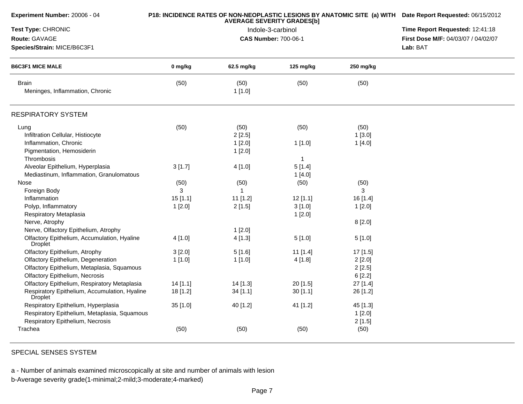| Experiment Number: 20006 - 04                                   |            | <b>AVERAGE SEVERITY GRADES[b]</b> | P18: INCIDENCE RATES OF NON-NEOPLASTIC LESIONS BY ANATOMIC SITE (a) WITH Date Report Requested: 06/15/2012<br>Time Report Requested: 12:41:18 |           |                                     |
|-----------------------------------------------------------------|------------|-----------------------------------|-----------------------------------------------------------------------------------------------------------------------------------------------|-----------|-------------------------------------|
| Test Type: CHRONIC                                              |            | Indole-3-carbinol                 |                                                                                                                                               |           |                                     |
| Route: GAVAGE                                                   |            |                                   | <b>CAS Number: 700-06-1</b>                                                                                                                   |           | First Dose M/F: 04/03/07 / 04/02/07 |
| Species/Strain: MICE/B6C3F1                                     |            |                                   |                                                                                                                                               |           | Lab: BAT                            |
| <b>B6C3F1 MICE MALE</b>                                         | 0 mg/kg    | 62.5 mg/kg                        | 125 mg/kg                                                                                                                                     | 250 mg/kg |                                     |
| <b>Brain</b><br>Meninges, Inflammation, Chronic                 | (50)       | (50)<br>1[1.0]                    | (50)                                                                                                                                          | (50)      |                                     |
| <b>RESPIRATORY SYSTEM</b>                                       |            |                                   |                                                                                                                                               |           |                                     |
| Lung                                                            | (50)       | (50)                              | (50)                                                                                                                                          | (50)      |                                     |
| Infiltration Cellular, Histiocyte                               |            | 2[2.5]                            |                                                                                                                                               | 1[3.0]    |                                     |
| Inflammation, Chronic                                           |            | 1[2.0]                            | 1[1.0]                                                                                                                                        | 1[4.0]    |                                     |
| Pigmentation, Hemosiderin                                       |            | 1[2.0]                            |                                                                                                                                               |           |                                     |
| Thrombosis                                                      |            |                                   | $\mathbf{1}$                                                                                                                                  |           |                                     |
| Alveolar Epithelium, Hyperplasia                                | 3[1.7]     | 4 [1.0]                           | 5[1.4]                                                                                                                                        |           |                                     |
| Mediastinum, Inflammation, Granulomatous                        |            |                                   | 1[4.0]                                                                                                                                        |           |                                     |
| Nose                                                            | (50)       | (50)                              | (50)                                                                                                                                          | (50)      |                                     |
| Foreign Body                                                    | 3          | $\mathbf{1}$                      |                                                                                                                                               | 3         |                                     |
| Inflammation                                                    | 15[1.1]    | 11 [1.2]                          | $12$ [1.1]                                                                                                                                    | 16[1.4]   |                                     |
| Polyp, Inflammatory                                             | 1[2.0]     | 2[1.5]                            | 3[1.0]                                                                                                                                        | 1[2.0]    |                                     |
| Respiratory Metaplasia                                          |            |                                   | 1[2.0]                                                                                                                                        |           |                                     |
| Nerve, Atrophy                                                  |            |                                   |                                                                                                                                               | 8[2.0]    |                                     |
| Nerve, Olfactory Epithelium, Atrophy                            |            | 1[2.0]                            |                                                                                                                                               |           |                                     |
| Olfactory Epithelium, Accumulation, Hyaline<br>Droplet          | 4 [1.0]    | 4[1.3]                            | 5[1.0]                                                                                                                                        | 5[1.0]    |                                     |
| Olfactory Epithelium, Atrophy                                   | 3[2.0]     | 5[1.6]                            | 11 [1.4]                                                                                                                                      | 17 [1.5]  |                                     |
| Olfactory Epithelium, Degeneration                              | 1[1.0]     | 1[1.0]                            | 4[1.8]                                                                                                                                        | 2[2.0]    |                                     |
| Olfactory Epithelium, Metaplasia, Squamous                      |            |                                   |                                                                                                                                               | 2[2.5]    |                                     |
| <b>Olfactory Epithelium, Necrosis</b>                           |            |                                   |                                                                                                                                               | 6[2.2]    |                                     |
| Olfactory Epithelium, Respiratory Metaplasia                    | $14$ [1.1] | 14 [1.3]                          | 20[1.5]                                                                                                                                       | 27 [1.4]  |                                     |
| Respiratory Epithelium, Accumulation, Hyaline<br><b>Droplet</b> | $18$ [1.2] | 34 [1.1]                          | 30[1.1]                                                                                                                                       | 26 [1.2]  |                                     |
| Respiratory Epithelium, Hyperplasia                             | 35 [1.0]   | 40 [1.2]                          | 41 [1.2]                                                                                                                                      | 45 [1.3]  |                                     |
| Respiratory Epithelium, Metaplasia, Squamous                    |            |                                   |                                                                                                                                               | 1[2.0]    |                                     |
| Respiratory Epithelium, Necrosis                                |            |                                   |                                                                                                                                               | 2[1.5]    |                                     |
| Trachea                                                         | (50)       | (50)                              | (50)                                                                                                                                          | (50)      |                                     |

SPECIAL SENSES SYSTEM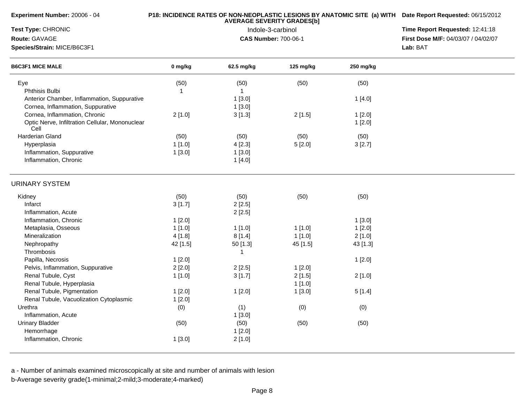| Experiment Number: 20006 - 04                           |          | P18: INCIDENCE RATES OF NON-NEOPLASTIC LESIONS BY ANATOMIC SITE (a) WITH Date Report Requested: 06/15/2012<br>Time Report Requested: 12:41:18 |                     |           |                                     |
|---------------------------------------------------------|----------|-----------------------------------------------------------------------------------------------------------------------------------------------|---------------------|-----------|-------------------------------------|
| Test Type: CHRONIC                                      |          |                                                                                                                                               |                     |           |                                     |
| Route: GAVAGE                                           |          | Indole-3-carbinol<br><b>CAS Number: 700-06-1</b>                                                                                              |                     |           | First Dose M/F: 04/03/07 / 04/02/07 |
| Species/Strain: MICE/B6C3F1                             |          |                                                                                                                                               |                     |           | Lab: BAT                            |
| <b>B6C3F1 MICE MALE</b>                                 | 0 mg/kg  | 62.5 mg/kg                                                                                                                                    | $125 \text{ mg/kg}$ | 250 mg/kg |                                     |
| Eye                                                     | (50)     | (50)                                                                                                                                          | (50)                | (50)      |                                     |
| Phthisis Bulbi                                          | 1        | $\mathbf{1}$                                                                                                                                  |                     |           |                                     |
| Anterior Chamber, Inflammation, Suppurative             |          | 1[3.0]                                                                                                                                        |                     | 1[4.0]    |                                     |
| Cornea, Inflammation, Suppurative                       |          | 1[3.0]                                                                                                                                        |                     |           |                                     |
| Cornea, Inflammation, Chronic                           | 2[1.0]   | 3[1.3]                                                                                                                                        | 2[1.5]              | 1[2.0]    |                                     |
| Optic Nerve, Infiltration Cellular, Mononuclear<br>Cell |          |                                                                                                                                               |                     | 1[2.0]    |                                     |
| Harderian Gland                                         | (50)     | (50)                                                                                                                                          | (50)                | (50)      |                                     |
| Hyperplasia                                             | 1[1.0]   | 4[2.3]                                                                                                                                        | 5[2.0]              | 3[2.7]    |                                     |
| Inflammation, Suppurative                               | 1[3.0]   | 1[3.0]                                                                                                                                        |                     |           |                                     |
| Inflammation, Chronic                                   |          | 1[4.0]                                                                                                                                        |                     |           |                                     |
| <b>URINARY SYSTEM</b>                                   |          |                                                                                                                                               |                     |           |                                     |
| Kidney                                                  | (50)     | (50)                                                                                                                                          | (50)                | (50)      |                                     |
| Infarct                                                 | 3[1.7]   | 2[2.5]                                                                                                                                        |                     |           |                                     |
| Inflammation, Acute                                     |          | 2[2.5]                                                                                                                                        |                     |           |                                     |
| Inflammation, Chronic                                   | 1[2.0]   |                                                                                                                                               |                     | 1[3.0]    |                                     |
| Metaplasia, Osseous                                     | 1[1.0]   | 1[1.0]                                                                                                                                        | 1[1.0]              | 1[2.0]    |                                     |
| Mineralization                                          | 4[1.8]   | 8[1.4]                                                                                                                                        | 1[1.0]              | 2[1.0]    |                                     |
| Nephropathy                                             | 42 [1.5] | 50 [1.3]                                                                                                                                      | 45 [1.5]            | 43 [1.3]  |                                     |
| Thrombosis                                              |          | $\mathbf{1}$                                                                                                                                  |                     |           |                                     |
| Papilla, Necrosis                                       | 1[2.0]   |                                                                                                                                               |                     | 1[2.0]    |                                     |
| Pelvis, Inflammation, Suppurative                       | 2[2.0]   | 2[2.5]                                                                                                                                        | 1[2.0]              |           |                                     |
| Renal Tubule, Cyst                                      | 1[1.0]   | 3[1.7]                                                                                                                                        | 2[1.5]              | 2[1.0]    |                                     |
| Renal Tubule, Hyperplasia                               |          |                                                                                                                                               | 1[1.0]              |           |                                     |
| Renal Tubule, Pigmentation                              | 1[2.0]   | 1[2.0]                                                                                                                                        | 1[3.0]              | 5[1.4]    |                                     |
| Renal Tubule, Vacuolization Cytoplasmic                 | 1[2.0]   |                                                                                                                                               |                     |           |                                     |
| Urethra                                                 | (0)      | (1)                                                                                                                                           | (0)                 | (0)       |                                     |
| Inflammation, Acute                                     |          | 1[3.0]                                                                                                                                        |                     |           |                                     |
| <b>Urinary Bladder</b>                                  | (50)     | (50)                                                                                                                                          | (50)                | (50)      |                                     |
| Hemorrhage                                              |          | 1[2.0]                                                                                                                                        |                     |           |                                     |
| Inflammation, Chronic                                   | 1[3.0]   | 2[1.0]                                                                                                                                        |                     |           |                                     |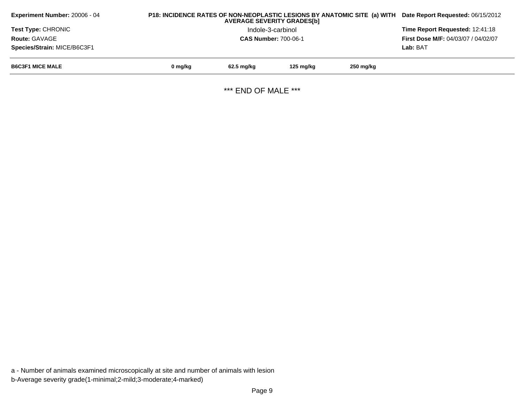| <b>Experiment Number: 20006 - 04</b> | P18: INCIDENCE RATES OF NON-NEOPLASTIC LESIONS BY ANATOMIC SITE (a) WITH<br>Date Report Requested: 06/15/2012 |              |           |           |          |
|--------------------------------------|---------------------------------------------------------------------------------------------------------------|--------------|-----------|-----------|----------|
| <b>Test Type: CHRONIC</b>            | Time Report Requested: 12:41:18                                                                               |              |           |           |          |
| <b>Route: GAVAGE</b>                 | <b>First Dose M/F: 04/03/07 / 04/02/07</b>                                                                    |              |           |           |          |
| Species/Strain: MICE/B6C3F1          |                                                                                                               |              |           |           | Lab: BAT |
| <b>B6C3F1 MICE MALE</b>              | 0 mg/kg                                                                                                       | $62.5$ mg/kg | 125 mg/kg | 250 mg/kg |          |
|                                      |                                                                                                               |              |           |           |          |

\*\*\* END OF MALE \*\*\*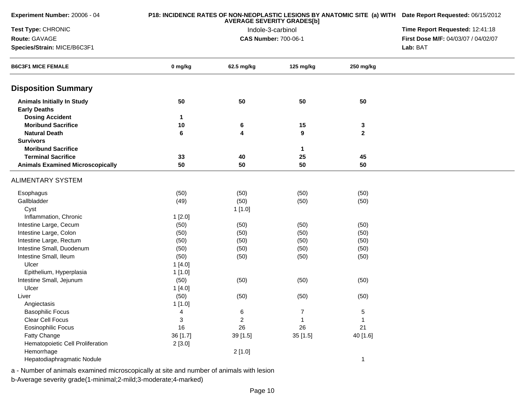| Experiment Number: 20006 - 04                 |          | P18: INCIDENCE RATES OF NON-NEOPLASTIC LESIONS BY ANATOMIC SITE (a) WITH Date Report Requested: 06/15/2012 |                   |              |                                     |
|-----------------------------------------------|----------|------------------------------------------------------------------------------------------------------------|-------------------|--------------|-------------------------------------|
| Test Type: CHRONIC                            |          |                                                                                                            | Indole-3-carbinol |              | Time Report Requested: 12:41:18     |
| Route: GAVAGE                                 |          | <b>CAS Number: 700-06-1</b>                                                                                |                   |              | First Dose M/F: 04/03/07 / 04/02/07 |
| Species/Strain: MICE/B6C3F1                   |          |                                                                                                            |                   |              | Lab: BAT                            |
| <b>B6C3F1 MICE FEMALE</b>                     | 0 mg/kg  | 62.5 mg/kg                                                                                                 | 125 mg/kg         | 250 mg/kg    |                                     |
| <b>Disposition Summary</b>                    |          |                                                                                                            |                   |              |                                     |
| <b>Animals Initially In Study</b>             | 50       | 50                                                                                                         | 50                | 50           |                                     |
| <b>Early Deaths</b>                           |          |                                                                                                            |                   |              |                                     |
| <b>Dosing Accident</b>                        | 1        |                                                                                                            |                   |              |                                     |
| <b>Moribund Sacrifice</b>                     | 10       | 6                                                                                                          | 15                | 3            |                                     |
| <b>Natural Death</b>                          | 6        | 4                                                                                                          | 9                 | $\mathbf 2$  |                                     |
| <b>Survivors</b><br><b>Moribund Sacrifice</b> |          |                                                                                                            |                   |              |                                     |
| <b>Terminal Sacrifice</b>                     |          |                                                                                                            | 1                 |              |                                     |
|                                               | 33<br>50 | 40<br>50                                                                                                   | 25<br>50          | 45<br>50     |                                     |
| <b>Animals Examined Microscopically</b>       |          |                                                                                                            |                   |              |                                     |
| ALIMENTARY SYSTEM                             |          |                                                                                                            |                   |              |                                     |
| Esophagus                                     | (50)     | (50)                                                                                                       | (50)              | (50)         |                                     |
| Gallbladder                                   | (49)     | (50)                                                                                                       | (50)              | (50)         |                                     |
| Cyst                                          |          | 1[1.0]                                                                                                     |                   |              |                                     |
| Inflammation, Chronic                         | 1[2.0]   |                                                                                                            |                   |              |                                     |
| Intestine Large, Cecum                        | (50)     | (50)                                                                                                       | (50)              | (50)         |                                     |
| Intestine Large, Colon                        | (50)     | (50)                                                                                                       | (50)              | (50)         |                                     |
| Intestine Large, Rectum                       | (50)     | (50)                                                                                                       | (50)              | (50)         |                                     |
| Intestine Small, Duodenum                     | (50)     | (50)                                                                                                       | (50)              | (50)         |                                     |
| Intestine Small, Ileum                        | (50)     | (50)                                                                                                       | (50)              | (50)         |                                     |
| Ulcer                                         | 1[4.0]   |                                                                                                            |                   |              |                                     |
| Epithelium, Hyperplasia                       | 1[1.0]   |                                                                                                            |                   |              |                                     |
| Intestine Small, Jejunum                      | (50)     | (50)                                                                                                       | (50)              | (50)         |                                     |
| Ulcer                                         | 1[4.0]   |                                                                                                            |                   |              |                                     |
| Liver                                         | (50)     | (50)                                                                                                       | (50)              | (50)         |                                     |
| Angiectasis                                   | 1[1.0]   |                                                                                                            |                   |              |                                     |
| <b>Basophilic Focus</b>                       | 4        | 6                                                                                                          | 7                 | 5            |                                     |
| Clear Cell Focus                              | 3        | $\overline{c}$                                                                                             | 1                 |              |                                     |
| <b>Eosinophilic Focus</b>                     | 16       | 26                                                                                                         | 26                | 21           |                                     |
| Fatty Change                                  | 36 [1.7] | 39 [1.5]                                                                                                   | 35 [1.5]          | 40 [1.6]     |                                     |
| Hematopoietic Cell Proliferation              | 2[3.0]   |                                                                                                            |                   |              |                                     |
| Hemorrhage                                    |          | 2[1.0]                                                                                                     |                   |              |                                     |
| Hepatodiaphragmatic Nodule                    |          |                                                                                                            |                   | $\mathbf{1}$ |                                     |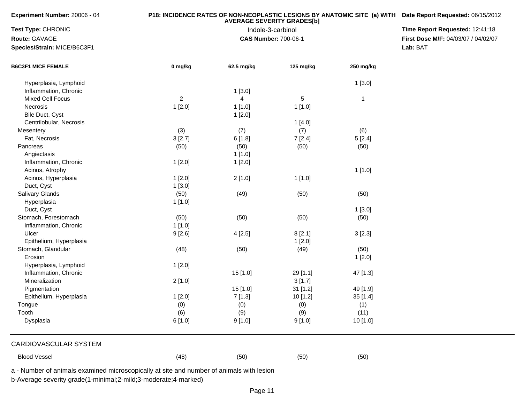**Experiment Number:** 20006 - 04

## **P18: INCIDENCE RATES OF NON-NEOPLASTIC LESIONS BY ANATOMIC SITE (a) WITH AVERAGE SEVERITY GRADES[b] Date Report Requested:** 06/15/2012

**Test Type:** CHRONIC

**Route:** GAVAGE

**Species/Strain:** MICE/B6C3F1

 Indole-3-carbinol **Time Report Requested:** 12:41:18 **First Dose M/F:** 04/03/07 / 04/02/07<br>Lab: BAT **Lab:** BAT

| <b>B6C3F1 MICE FEMALE</b> | 0 mg/kg        | 62.5 mg/kg     | 125 mg/kg  | 250 mg/kg    |  |
|---------------------------|----------------|----------------|------------|--------------|--|
| Hyperplasia, Lymphoid     |                |                |            | 1[3.0]       |  |
| Inflammation, Chronic     |                | 1[3.0]         |            |              |  |
| Mixed Cell Focus          | $\overline{2}$ | $\overline{4}$ | $\sqrt{5}$ | $\mathbf{1}$ |  |
| Necrosis                  | 1[2.0]         | 1[1.0]         | 1[1.0]     |              |  |
| Bile Duct, Cyst           |                | 1[2.0]         |            |              |  |
| Centrilobular, Necrosis   |                |                | 1[4.0]     |              |  |
| Mesentery                 | (3)            | (7)            | (7)        | (6)          |  |
| Fat, Necrosis             | 3[2.7]         | 6[1.8]         | 7[2.4]     | 5[2.4]       |  |
| Pancreas                  | (50)           | (50)           | (50)       | (50)         |  |
| Angiectasis               |                | 1[1.0]         |            |              |  |
| Inflammation, Chronic     | 1[2.0]         | 1[2.0]         |            |              |  |
| Acinus, Atrophy           |                |                |            | 1[1.0]       |  |
| Acinus, Hyperplasia       | 1[2.0]         | 2[1.0]         | 1[1.0]     |              |  |
| Duct, Cyst                | 1[3.0]         |                |            |              |  |
| Salivary Glands           | (50)           | (49)           | (50)       | (50)         |  |
| Hyperplasia               | 1[1.0]         |                |            |              |  |
| Duct, Cyst                |                |                |            | 1[3.0]       |  |
| Stomach, Forestomach      | (50)           | (50)           | (50)       | (50)         |  |
| Inflammation, Chronic     | 1[1.0]         |                |            |              |  |
| Ulcer                     | 9[2.6]         | 4[2.5]         | 8[2.1]     | 3[2.3]       |  |
| Epithelium, Hyperplasia   |                |                | 1[2.0]     |              |  |
| Stomach, Glandular        | (48)           | (50)           | (49)       | (50)         |  |
| Erosion                   |                |                |            | 1[2.0]       |  |
| Hyperplasia, Lymphoid     | 1[2.0]         |                |            |              |  |
| Inflammation, Chronic     |                | 15 [1.0]       | 29 [1.1]   | 47 [1.3]     |  |
| Mineralization            | 2[1.0]         |                | 3[1.7]     |              |  |
| Pigmentation              |                | 15 [1.0]       | 31 [1.2]   | 49 [1.9]     |  |
| Epithelium, Hyperplasia   | 1[2.0]         | 7[1.3]         | 10 [1.2]   | 35 [1.4]     |  |
| Tongue                    | (0)            | (0)            | (0)        | (1)          |  |
| Tooth                     | (6)            | (9)            | (9)        | (11)         |  |
| Dysplasia                 | 6[1.0]         | 9[1.0]         | 9[1.0]     | 10 [1.0]     |  |
| CARDIOVASCULAR SYSTEM     |                |                |            |              |  |
| <b>Blood Vessel</b>       | (48)           | (50)           | (50)       | (50)         |  |

a - Number of animals examined microscopically at site and number of animals with lesion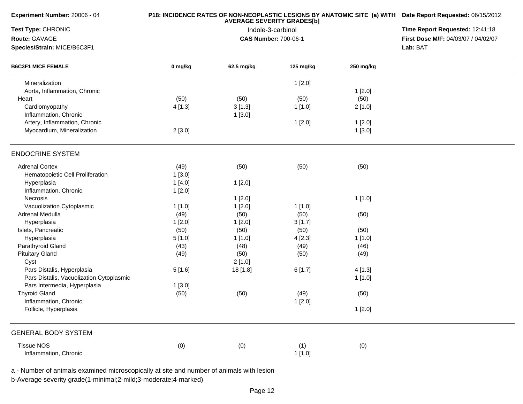| Experiment Number: 20006 - 04<br>Test Type: CHRONIC      |         | P18: INCIDENCE RATES OF NON-NEOPLASTIC LESIONS BY ANATOMIC SITE (a) WITH Date Report Requested: 06/15/2012<br>Time Report Requested: 12:41:18 |           |           |                                     |
|----------------------------------------------------------|---------|-----------------------------------------------------------------------------------------------------------------------------------------------|-----------|-----------|-------------------------------------|
|                                                          |         |                                                                                                                                               |           |           |                                     |
| Route: GAVAGE                                            |         | <b>CAS Number: 700-06-1</b>                                                                                                                   |           |           | First Dose M/F: 04/03/07 / 04/02/07 |
| Species/Strain: MICE/B6C3F1<br><b>B6C3F1 MICE FEMALE</b> |         | Lab: BAT                                                                                                                                      |           |           |                                     |
|                                                          | 0 mg/kg | 62.5 mg/kg                                                                                                                                    | 125 mg/kg | 250 mg/kg |                                     |
| Mineralization                                           |         |                                                                                                                                               | 1[2.0]    |           |                                     |
| Aorta, Inflammation, Chronic                             |         |                                                                                                                                               |           | 1[2.0]    |                                     |
| Heart                                                    | (50)    | (50)                                                                                                                                          | (50)      | (50)      |                                     |
| Cardiomyopathy                                           | 4[1.3]  | 3[1.3]                                                                                                                                        | 1[1.0]    | 2[1.0]    |                                     |
| Inflammation, Chronic                                    |         | 1[3.0]                                                                                                                                        |           |           |                                     |
| Artery, Inflammation, Chronic                            |         |                                                                                                                                               | 1[2.0]    | 1[2.0]    |                                     |
| Myocardium, Mineralization                               | 2[3.0]  |                                                                                                                                               |           | 1[3.0]    |                                     |
| <b>ENDOCRINE SYSTEM</b>                                  |         |                                                                                                                                               |           |           |                                     |
| <b>Adrenal Cortex</b>                                    | (49)    | (50)                                                                                                                                          | (50)      | (50)      |                                     |
| Hematopoietic Cell Proliferation                         | 1[3.0]  |                                                                                                                                               |           |           |                                     |
| Hyperplasia                                              | 1[4.0]  | 1[2.0]                                                                                                                                        |           |           |                                     |
| Inflammation, Chronic                                    | 1[2.0]  |                                                                                                                                               |           |           |                                     |
| Necrosis                                                 |         | 1[2.0]                                                                                                                                        |           | 1[1.0]    |                                     |
| Vacuolization Cytoplasmic                                | 1[1.0]  | 1[2.0]                                                                                                                                        | 1[1.0]    |           |                                     |
| Adrenal Medulla                                          | (49)    | (50)                                                                                                                                          | (50)      | (50)      |                                     |
| Hyperplasia                                              | 1[2.0]  | 1[2.0]                                                                                                                                        | 3[1.7]    |           |                                     |
| Islets, Pancreatic                                       | (50)    | (50)                                                                                                                                          | (50)      | (50)      |                                     |
| Hyperplasia                                              | 5[1.0]  | 1[1.0]                                                                                                                                        | 4[2.3]    | 1[1.0]    |                                     |
| Parathyroid Gland                                        | (43)    | (48)                                                                                                                                          | (49)      | (46)      |                                     |
| <b>Pituitary Gland</b>                                   | (49)    | (50)                                                                                                                                          | (50)      | (49)      |                                     |
| Cyst                                                     |         | 2[1.0]                                                                                                                                        |           |           |                                     |
| Pars Distalis, Hyperplasia                               | 5[1.6]  | 18 [1.8]                                                                                                                                      | 6[1.7]    | 4[1.3]    |                                     |
| Pars Distalis, Vacuolization Cytoplasmic                 |         |                                                                                                                                               |           | 1[1.0]    |                                     |
| Pars Intermedia, Hyperplasia                             | 1[3.0]  |                                                                                                                                               |           |           |                                     |
| <b>Thyroid Gland</b>                                     | (50)    | (50)                                                                                                                                          | (49)      | (50)      |                                     |
| Inflammation, Chronic                                    |         |                                                                                                                                               | 1[2.0]    |           |                                     |
| Follicle, Hyperplasia                                    |         |                                                                                                                                               |           |           |                                     |
|                                                          |         |                                                                                                                                               |           | 1[2.0]    |                                     |
| <b>GENERAL BODY SYSTEM</b>                               |         |                                                                                                                                               |           |           |                                     |
| <b>Tissue NOS</b>                                        | (0)     | (0)                                                                                                                                           | (1)       | (0)       |                                     |
| Inflammation, Chronic                                    |         |                                                                                                                                               | 1[1.0]    |           |                                     |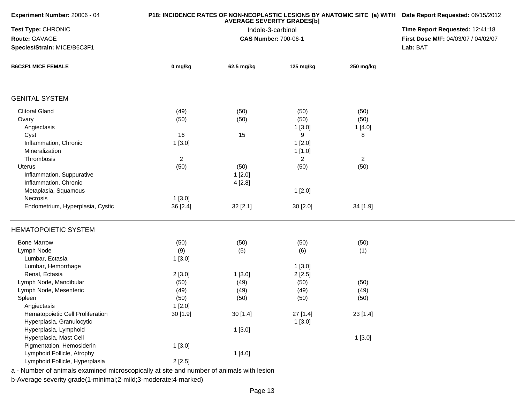| Experiment Number: 20006 - 04                                                            |                | P18: INCIDENCE RATES OF NON-NEOPLASTIC LESIONS BY ANATOMIC SITE (a) WITH Date Report Requested: 06/15/2012<br>Time Report Requested: 12:41:18 |                   |                |                                     |
|------------------------------------------------------------------------------------------|----------------|-----------------------------------------------------------------------------------------------------------------------------------------------|-------------------|----------------|-------------------------------------|
| Test Type: CHRONIC                                                                       |                |                                                                                                                                               |                   |                |                                     |
| Route: GAVAGE                                                                            |                | <b>CAS Number: 700-06-1</b>                                                                                                                   | Indole-3-carbinol |                | First Dose M/F: 04/03/07 / 04/02/07 |
| Species/Strain: MICE/B6C3F1<br><b>B6C3F1 MICE FEMALE</b>                                 |                | Lab: BAT                                                                                                                                      |                   |                |                                     |
|                                                                                          | 0 mg/kg        | 62.5 mg/kg                                                                                                                                    | 125 mg/kg         | 250 mg/kg      |                                     |
|                                                                                          |                |                                                                                                                                               |                   |                |                                     |
| <b>GENITAL SYSTEM</b>                                                                    |                |                                                                                                                                               |                   |                |                                     |
| <b>Clitoral Gland</b>                                                                    | (49)           | (50)                                                                                                                                          | (50)              | (50)           |                                     |
| Ovary                                                                                    | (50)           | (50)                                                                                                                                          | (50)              | (50)           |                                     |
| Angiectasis                                                                              |                |                                                                                                                                               | 1[3.0]            | 1[4.0]         |                                     |
| Cyst                                                                                     | 16             | 15                                                                                                                                            | 9                 | 8              |                                     |
| Inflammation, Chronic                                                                    | 1[3.0]         |                                                                                                                                               | 1[2.0]            |                |                                     |
| Mineralization                                                                           |                |                                                                                                                                               | 1[1.0]            |                |                                     |
| Thrombosis                                                                               | $\overline{2}$ |                                                                                                                                               | $\overline{2}$    | $\overline{2}$ |                                     |
| Uterus                                                                                   | (50)           | (50)                                                                                                                                          | (50)              | (50)           |                                     |
| Inflammation, Suppurative                                                                |                | 1[2.0]                                                                                                                                        |                   |                |                                     |
| Inflammation, Chronic                                                                    |                | 4[2.8]                                                                                                                                        |                   |                |                                     |
| Metaplasia, Squamous                                                                     |                |                                                                                                                                               | 1[2.0]            |                |                                     |
| Necrosis                                                                                 | 1[3.0]         |                                                                                                                                               |                   |                |                                     |
| Endometrium, Hyperplasia, Cystic                                                         | 36 [2.4]       | 32 [2.1]                                                                                                                                      | 30 [2.0]          | 34 [1.9]       |                                     |
|                                                                                          |                |                                                                                                                                               |                   |                |                                     |
| <b>HEMATOPOIETIC SYSTEM</b>                                                              |                |                                                                                                                                               |                   |                |                                     |
| <b>Bone Marrow</b>                                                                       | (50)           | (50)                                                                                                                                          | (50)              | (50)           |                                     |
| Lymph Node                                                                               | (9)            | (5)                                                                                                                                           | (6)               | (1)            |                                     |
| Lumbar, Ectasia                                                                          | 1[3.0]         |                                                                                                                                               |                   |                |                                     |
| Lumbar, Hemorrhage                                                                       |                |                                                                                                                                               | 1[3.0]            |                |                                     |
| Renal, Ectasia                                                                           | 2[3.0]         | 1[3.0]                                                                                                                                        | 2[2.5]            |                |                                     |
| Lymph Node, Mandibular                                                                   | (50)           | (49)                                                                                                                                          | (50)              | (50)           |                                     |
| Lymph Node, Mesenteric                                                                   | (49)           | (49)                                                                                                                                          | (49)              | (49)           |                                     |
| Spleen                                                                                   | (50)           | (50)                                                                                                                                          | (50)              | (50)           |                                     |
| Angiectasis                                                                              | 1[2.0]         |                                                                                                                                               |                   |                |                                     |
| Hematopoietic Cell Proliferation                                                         | 30 [1.9]       | 30[1.4]                                                                                                                                       | 27 [1.4]          | 23 [1.4]       |                                     |
| Hyperplasia, Granulocytic                                                                |                |                                                                                                                                               | 1[3.0]            |                |                                     |
| Hyperplasia, Lymphoid                                                                    |                | 1[3.0]                                                                                                                                        |                   |                |                                     |
| Hyperplasia, Mast Cell                                                                   |                |                                                                                                                                               |                   | 1[3.0]         |                                     |
| Pigmentation, Hemosiderin                                                                | 1[3.0]         |                                                                                                                                               |                   |                |                                     |
| Lymphoid Follicle, Atrophy                                                               |                |                                                                                                                                               |                   |                |                                     |
| Lymphoid Follicle, Hyperplasia                                                           |                | 1[4.0]                                                                                                                                        |                   |                |                                     |
| a - Number of animals examined microscopically at site and number of animals with lesion | 2[2.5]         |                                                                                                                                               |                   |                |                                     |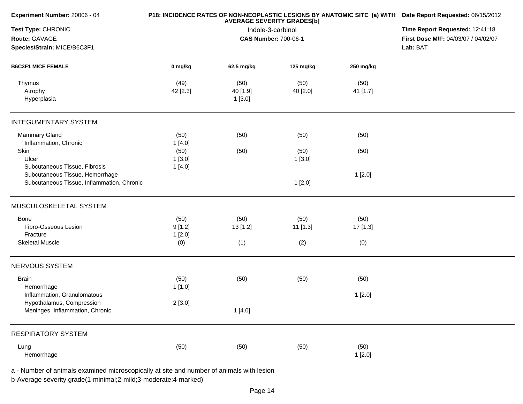| Experiment Number: 20006 - 04              |          | <b>AVERAGE SEVERITY GRADES[b]</b> | P18: INCIDENCE RATES OF NON-NEOPLASTIC LESIONS BY ANATOMIC SITE (a) WITH Date Report Requested: 06/15/2012<br>Time Report Requested: 12:41:18 |           |                                     |
|--------------------------------------------|----------|-----------------------------------|-----------------------------------------------------------------------------------------------------------------------------------------------|-----------|-------------------------------------|
| Test Type: CHRONIC                         |          | Indole-3-carbinol                 |                                                                                                                                               |           |                                     |
| Route: GAVAGE                              |          |                                   | <b>CAS Number: 700-06-1</b>                                                                                                                   |           | First Dose M/F: 04/03/07 / 04/02/07 |
| Species/Strain: MICE/B6C3F1                |          |                                   |                                                                                                                                               | Lab: BAT  |                                     |
| <b>B6C3F1 MICE FEMALE</b>                  | 0 mg/kg  | 62.5 mg/kg                        | 125 mg/kg                                                                                                                                     | 250 mg/kg |                                     |
| Thymus                                     | (49)     | (50)                              | (50)                                                                                                                                          | (50)      |                                     |
| Atrophy                                    | 42 [2.3] | 40 [1.9]                          | 40 [2.0]                                                                                                                                      | 41 [1.7]  |                                     |
| Hyperplasia                                |          | 1[3.0]                            |                                                                                                                                               |           |                                     |
| <b>INTEGUMENTARY SYSTEM</b>                |          |                                   |                                                                                                                                               |           |                                     |
| <b>Mammary Gland</b>                       | (50)     | (50)                              | (50)                                                                                                                                          | (50)      |                                     |
| Inflammation, Chronic                      | 1[4.0]   |                                   |                                                                                                                                               |           |                                     |
| Skin                                       | (50)     | (50)                              | (50)                                                                                                                                          | (50)      |                                     |
| Ulcer                                      | 1[3.0]   |                                   | 1[3.0]                                                                                                                                        |           |                                     |
| Subcutaneous Tissue, Fibrosis              | 1[4.0]   |                                   |                                                                                                                                               |           |                                     |
| Subcutaneous Tissue, Hemorrhage            |          |                                   |                                                                                                                                               | 1[2.0]    |                                     |
| Subcutaneous Tissue, Inflammation, Chronic |          |                                   | 1[2.0]                                                                                                                                        |           |                                     |
| MUSCULOSKELETAL SYSTEM                     |          |                                   |                                                                                                                                               |           |                                     |
| Bone                                       | (50)     | (50)                              | (50)                                                                                                                                          | (50)      |                                     |
| Fibro-Osseous Lesion                       | 9[1.2]   | 13 [1.2]                          | 11 [1.3]                                                                                                                                      | 17 [1.3]  |                                     |
| Fracture                                   | 1[2.0]   |                                   |                                                                                                                                               |           |                                     |
| <b>Skeletal Muscle</b>                     | (0)      | (1)                               | (2)                                                                                                                                           | (0)       |                                     |
| NERVOUS SYSTEM                             |          |                                   |                                                                                                                                               |           |                                     |
| <b>Brain</b>                               | (50)     | (50)                              | (50)                                                                                                                                          | (50)      |                                     |
| Hemorrhage                                 | 1[1.0]   |                                   |                                                                                                                                               |           |                                     |
| Inflammation, Granulomatous                |          |                                   |                                                                                                                                               | 1[2.0]    |                                     |
| Hypothalamus, Compression                  | 2[3.0]   |                                   |                                                                                                                                               |           |                                     |
| Meninges, Inflammation, Chronic            |          | 1[4.0]                            |                                                                                                                                               |           |                                     |
|                                            |          |                                   |                                                                                                                                               |           |                                     |
| <b>RESPIRATORY SYSTEM</b>                  |          |                                   |                                                                                                                                               |           |                                     |
| Lung                                       | (50)     | (50)                              | (50)                                                                                                                                          | (50)      |                                     |
| Hemorrhage                                 |          |                                   |                                                                                                                                               | 1[2.0]    |                                     |
|                                            |          |                                   |                                                                                                                                               |           |                                     |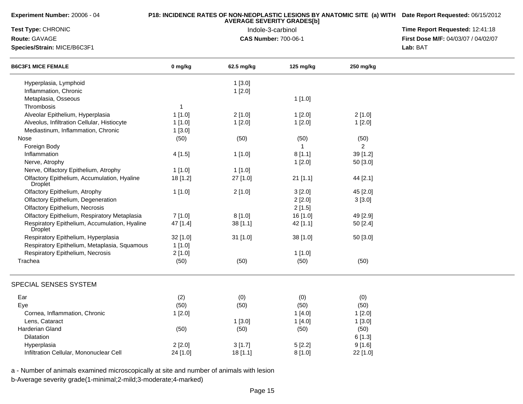| Experiment Number: 20006 - 04 |  |  |
|-------------------------------|--|--|
|-------------------------------|--|--|

## **P18: INCIDENCE RATES OF NON-NEOPLASTIC LESIONS BY ANATOMIC SITE (a) WITH AVERAGE SEVERITY GRADES[b] Date Report Requested:** 06/15/2012

**Test Type:** CHRONIC

**Route:** GAVAGE

**Species/Strain:** MICE/B6C3F1

 Indole-3-carbinol **Time Report Requested:** 12:41:18 **First Dose M/F:** 04/03/07 / 04/02/07<br>Lab: BAT **Lab:** BAT

| <b>B6C3F1 MICE FEMALE</b>                                       | 0 mg/kg      | 62.5 mg/kg | 125 mg/kg | 250 mg/kg      |  |
|-----------------------------------------------------------------|--------------|------------|-----------|----------------|--|
| Hyperplasia, Lymphoid                                           |              | 1[3.0]     |           |                |  |
| Inflammation, Chronic                                           |              | 1[2.0]     |           |                |  |
| Metaplasia, Osseous                                             |              |            | 1[1.0]    |                |  |
| Thrombosis                                                      | $\mathbf{1}$ |            |           |                |  |
| Alveolar Epithelium, Hyperplasia                                | 1[1.0]       | 2[1.0]     | 1[2.0]    | 2[1.0]         |  |
| Alveolus, Infiltration Cellular, Histiocyte                     | 1[1.0]       | 1[2.0]     | 1[2.0]    | 1[2.0]         |  |
| Mediastinum, Inflammation, Chronic                              | 1[3.0]       |            |           |                |  |
| Nose                                                            | (50)         | (50)       | (50)      | (50)           |  |
| Foreign Body                                                    |              |            |           | $\overline{2}$ |  |
| Inflammation                                                    | 4[1.5]       | 1[1.0]     | 8[1.1]    | 39 [1.2]       |  |
| Nerve, Atrophy                                                  |              |            | 1[2.0]    | 50 [3.0]       |  |
| Nerve, Olfactory Epithelium, Atrophy                            | 1[1.0]       | 1[1.0]     |           |                |  |
| Olfactory Epithelium, Accumulation, Hyaline<br>Droplet          | 18 [1.2]     | 27 [1.0]   | 21 [1.1]  | 44 [2.1]       |  |
| Olfactory Epithelium, Atrophy                                   | 1[1.0]       | 2[1.0]     | 3[2.0]    | 45 [2.0]       |  |
| Olfactory Epithelium, Degeneration                              |              |            | 2[2.0]    | 3[3.0]         |  |
| Olfactory Epithelium, Necrosis                                  |              |            | 2[1.5]    |                |  |
| Olfactory Epithelium, Respiratory Metaplasia                    | 7[1.0]       | 8[1.0]     | 16 [1.0]  | 49 [2.9]       |  |
| Respiratory Epithelium, Accumulation, Hyaline<br><b>Droplet</b> | 47 [1.4]     | 38[1.1]    | 42 [1.1]  | 50 [2.4]       |  |
| Respiratory Epithelium, Hyperplasia                             | 32 [1.0]     | 31 [1.0]   | 38 [1.0]  | 50 [3.0]       |  |
| Respiratory Epithelium, Metaplasia, Squamous                    | 1[1.0]       |            |           |                |  |
| Respiratory Epithelium, Necrosis                                | 2[1.0]       |            | 1[1.0]    |                |  |
| Trachea                                                         | (50)         | (50)       | (50)      | (50)           |  |
| SPECIAL SENSES SYSTEM                                           |              |            |           |                |  |
| Ear                                                             | (2)          | (0)        | (0)       | (0)            |  |
| Eye                                                             | (50)         | (50)       | (50)      | (50)           |  |
| Cornea, Inflammation, Chronic                                   | 1[2.0]       |            | 1[4.0]    | 1[2.0]         |  |
| Lens, Cataract                                                  |              | 1[3.0]     | 1[4.0]    | 1[3.0]         |  |
| Harderian Gland                                                 | (50)         | (50)       | (50)      | (50)           |  |
| Dilatation                                                      |              |            |           | 6[1.3]         |  |
| Hyperplasia                                                     | 2[2.0]       | 3[1.7]     | 5[2.2]    | 9[1.6]         |  |
| Infiltration Cellular, Mononuclear Cell                         | 24 [1.0]     | 18[1.1]    | 8[1.0]    | 22 [1.0]       |  |

a - Number of animals examined microscopically at site and number of animals with lesion